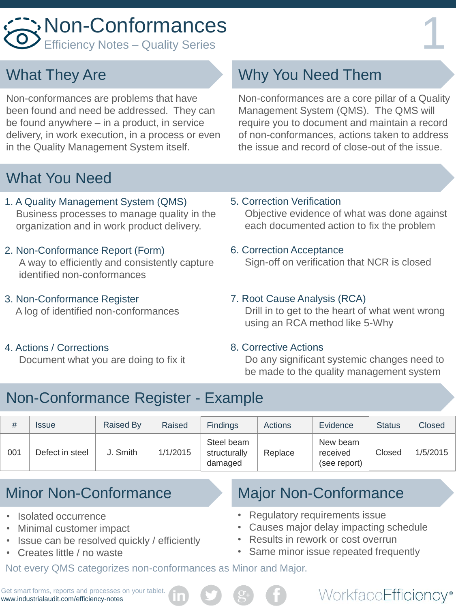# Non-Conformances<br>Efficiency Notes – Quality Series

# What They Are

Non-conformances are problems that have been found and need be addressed. They can be found anywhere – in a product, in service delivery, in work execution, in a process or even in the Quality Management System itself.

# What You Need

- 1. A Quality Management System (QMS) Business processes to manage quality in the organization and in work product delivery.
- 2. Non-Conformance Report (Form) A way to efficiently and consistently capture identified non-conformances
- 3. Non-Conformance Register A log of identified non-conformances
- 4. Actions / Corrections Document what you are doing to fix it

# Why You Need Them

Non-conformances are a core pillar of a Quality Management System (QMS). The QMS will require you to document and maintain a record of non-conformances, actions taken to address the issue and record of close-out of the issue.

5. Correction Verification

 Objective evidence of what was done against each documented action to fix the problem

### 6. Correction Acceptance

Sign-off on verification that NCR is closed

### 7. Root Cause Analysis (RCA)

 Drill in to get to the heart of what went wrong using an RCA method like 5-Why

#### 8. Corrective Actions

 Do any significant systemic changes need to be made to the quality management system

# Non-Conformance Register - Example

| #   | <i><b>Issue</b></i> | Raised By | Raised   | <b>Findings</b>                       | Actions | Evidence                             | <b>Status</b> | Closed   |
|-----|---------------------|-----------|----------|---------------------------------------|---------|--------------------------------------|---------------|----------|
| 001 | Defect in steel     | J. Smith  | 1/1/2015 | Steel beam<br>structurally<br>damaged | Replace | New beam<br>received<br>(see report) | Closed        | 1/5/2015 |

- Isolated occurrence
- Minimal customer impact
- Issue can be resolved quickly / efficiently
- Creates little / no waste

Minor Non-Conformance Major Non-Conformance

- Regulatory requirements issue
- Causes major delay impacting schedule
- Results in rework or cost overrun
- Same minor issue repeated frequently

WorkfaceEfficiency®

Not every QMS categorizes non-conformances as Minor and Major.

Get smart forms, reports and processes on your tablet. www.industrialaudit.com/efficiency-notes